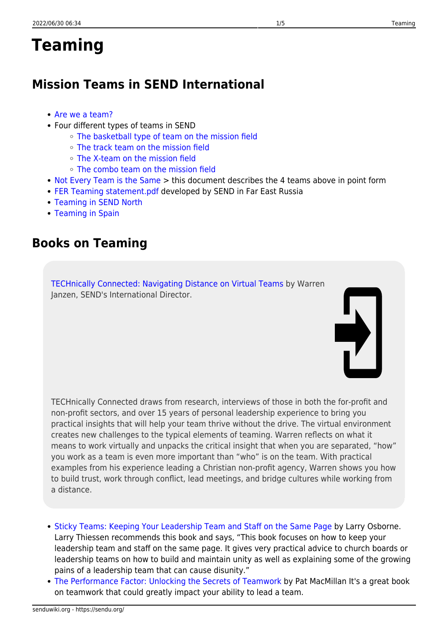# **Teaming**

# **Mission Teams in SEND International**

- [Are we a team?](https://sendublog.com/2014/06/04/are-we-a-team/)
- Four different types of teams in SEND
	- [The basketball type of team on the mission field](https://sendublog.com/2014/06/24/the-basketball-team-on-the-mission-field/)
	- [The track team on the mission field](https://sendublog.com/2014/08/12/the-track-team-on-the-mission-field/)
	- [The X-team on the mission field](https://sendublog.com/2014/09/03/x-teams-on-the-mission-field/)
	- [The combo team on the mission field](https://sendublog.com/2021/03/08/combo-teams/)
- [Not Every Team is the Same](https://sendu.org/_media/not_every_team_is_the_same.docx) > this document describes the 4 teams above in point form
- [FER Teaming statement.pdf](https://sendu.org/_media/fer_teaming_statement.pdf) developed by SEND in Far East Russia
- [Teaming in SEND North](https://sendu.org/teaming_in_send_north)
- [Teaming in Spain](https://sendu.org/_media/send_spain_missionaries_serve_on_teams.pdf)

### **Books on Teaming**

[TECHnically Connected: Navigating Distance on Virtual Teams](https://amzn.to/36t3y5D) by Warren Janzen, SEND's International Director.

TECHnically Connected draws from research, interviews of those in both the for-profit and non-profit sectors, and over 15 years of personal leadership experience to bring you practical insights that will help your team thrive without the drive. The virtual environment creates new challenges to the typical elements of teaming. Warren reflects on what it means to work virtually and unpacks the critical insight that when you are separated, "how" you work as a team is even more important than "who" is on the team. With practical examples from his experience leading a Christian non-profit agency, Warren shows you how to build trust, work through conflict, lead meetings, and bridge cultures while working from a distance.

- [Sticky Teams: Keeping Your Leadership Team and Staff on the Same Page](https://amzn.to/2yllB1b) by Larry Osborne. Larry Thiessen recommends this book and says, "This book focuses on how to keep your leadership team and staff on the same page. It gives very practical advice to church boards or leadership teams on how to build and maintain unity as well as explaining some of the growing pains of a leadership team that can cause disunity."
- [The Performance Factor: Unlocking the Secrets of Teamwork](https://amzn.to/2LISqIv) by Pat MacMillan It's a great book on teamwork that could greatly impact your ability to lead a team.

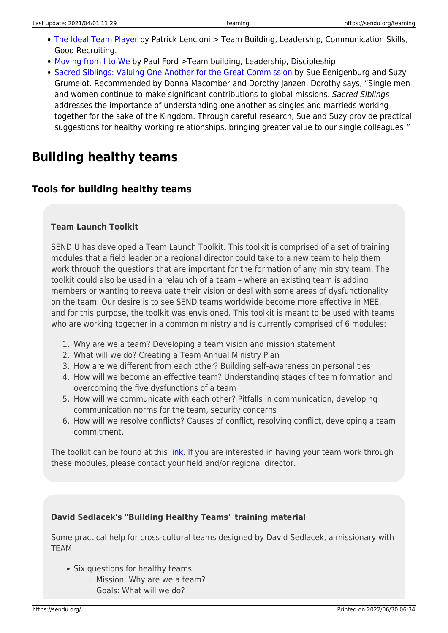- [The Ideal Team Player](https://amzn.to/2ALDzdX) by Patrick Lencioni > Team Building, Leadership, Communication Skills, Good Recruiting.
- [Moving from I to We](https://amzn.to/2Zv4xke) by Paul Ford >Team building, Leadership, Discipleship
- [Sacred Siblings: Valuing One Another for the Great Commission](https://amzn.to/3mdk9Ro) by Sue Eenigenburg and Suzy Grumelot. Recommended by Donna Macomber and Dorothy Janzen. Dorothy says, "Single men and women continue to make significant contributions to global missions. Sacred Siblings addresses the importance of understanding one another as singles and marrieds working together for the sake of the Kingdom. Through careful research, Sue and Suzy provide practical suggestions for healthy working relationships, bringing greater value to our single colleagues!"

# **Building healthy teams**

### **Tools for building healthy teams**

#### **Team Launch Toolkit**

SEND U has developed a Team Launch Toolkit. This toolkit is comprised of a set of training modules that a field leader or a regional director could take to a new team to help them work through the questions that are important for the formation of any ministry team. The toolkit could also be used in a relaunch of a team – where an existing team is adding members or wanting to reevaluate their vision or deal with some areas of dysfunctionality on the team. Our desire is to see SEND teams worldwide become more effective in MEE, and for this purpose, the toolkit was envisioned. This toolkit is meant to be used with teams who are working together in a common ministry and is currently comprised of 6 modules:

- 1. Why are we a team? Developing a team vision and mission statement
- 2. What will we do? Creating a Team Annual Ministry Plan
- 3. How are we different from each other? Building self-awareness on personalities
- 4. How will we become an effective team? Understanding stages of team formation and overcoming the five dysfunctions of a team
- 5. How will we communicate with each other? Pitfalls in communication, developing communication norms for the team, security concerns
- 6. How will we resolve conflicts? Causes of conflict, resolving conflict, developing a team commitment.

The toolkit can be found at this [link.](https://send.us3.list-manage.com/track/click?u=38a9985a32fa0ede754b4a2b7&id=3c6759f942&e=39e310d192) If you are interested in having your team work through these modules, please contact your field and/or regional director.

#### **David Sedlacek's "Building Healthy Teams" training material**

Some practical help for cross-cultural teams designed by David Sedlacek, a missionary with **TFAM** 

- Six questions for healthy teams
	- Mission: Why are we a team?
	- Goals: What will we do?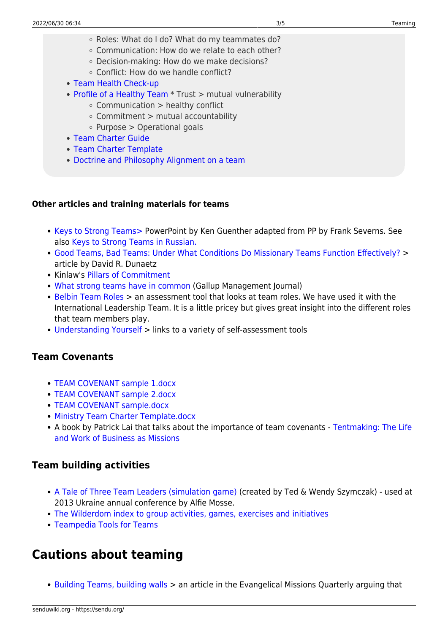- Roles: What do I do? What do my teammates do?
- Communication: How do we relate to each other?
- Decision-making: How do we make decisions?
- Conflict: How do we handle conflict?
- [Team Health Check-up](https://sendu.org/_media/teamhealthcheck.pdf)
- [Profile of a Healthy Team](https://sendu.org/_media/profile_of_a_healthy_team.pdf) \* Trust > mutual vulnerability
	- $\circ$  Communication  $>$  healthy conflict
	- Commitment > mutual accountability
	- $\circ$  Purpose  $>$  Operational goals
- [Team Charter Guide](https://sendu.org/_media/team_charter_guide.pdf)
- [Team Charter Template](https://sendu.org/_media/team_charter_template.pdf)
- [Doctrine and Philosophy Alignment on a team](https://sendu.org/_media/doctrine_philosophy_of_ministry.pdf)

#### **Other articles and training materials for teams**

- [Keys to Strong Teams> P](https://sendu.org/_media/keys_to_strong_teams_revised.ppt)owerPoint by Ken Guenther adapted from PP by Frank Severns. See also [Keys to Strong Teams in Russian.](https://sendu.org/_media/keys_to_strong_teams_russian.ppt)
- [Good Teams, Bad Teams: Under What Conditions Do Missionary Teams Function Effectively?](https://firescholars.seu.edu/cgi/viewcontent.cgi?article=1014&context=seu_papers) > article by David R. Dunaetz
- Kinlaw's [Pillars of Commitment](http://www.life-role.com/documents/Summary  Kinlaw)
- [What strong teams have in common](http://gmj.gallup.com/content/113341/What-Strong-Teams-Common.aspx?CSTS=newsletter&CSTP=html#2) (Gallup Management Journal)
- [Belbin Team Roles](http://www.belbin.com/rte.asp) > an assessment tool that looks at team roles. We have used it with the International Leadership Team. It is a little pricey but gives great insight into the different roles that team members play.
- [Understanding Yourself](https://senduwiki.org/understanding_yourself) > links to a variety of self-assessment tools

### **Team Covenants**

- [TEAM COVENANT sample 1.docx](https://sendu.org/_media/team_covenant_sample_1.docx)
- [TEAM COVENANT sample 2.docx](https://sendu.org/_media/team_covenant_sample_2.docx)
- [TEAM COVENANT sample.docx](https://sendu.org/_media/team_covenant_sample.docx)
- [Ministry Team Charter Template.docx](https://sendu.org/_media/ministry_team_charter_template.docx)
- A book by Patrick Lai that talks about the importance of team covenants [Tentmaking: The Life](http://www.amazon.com/gp/product/1932805532/ref=as_li_ss_tl?ie=UTF8&tag=suw-20&linkCode=as2&camp=1789&creative=390957&creativeASIN=1932805532) [and Work of Business as Missions](http://www.amazon.com/gp/product/1932805532/ref=as_li_ss_tl?ie=UTF8&tag=suw-20&linkCode=as2&camp=1789&creative=390957&creativeASIN=1932805532)

### **Team building activities**

- [A Tale of Three Team Leaders \(simulation game\)](https://sendu.org/_media/simulation3leaders.doc) (created by Ted & Wendy Szymczak) used at 2013 Ukraine annual conference by Alfie Mosse.
- [The Wilderdom index to group activities, games, exercises and initiatives](http://greatcampgames.ca/more-games/wilderdom/)
- [Teampedia Tools for Teams](https://www.teampedia.net/wiki/)

### **Cautions about teaming**

• [Building Teams, building walls](https://missionexus.org/building-teams-building-walls/) > an article in the Evangelical Missions Quarterly arguing that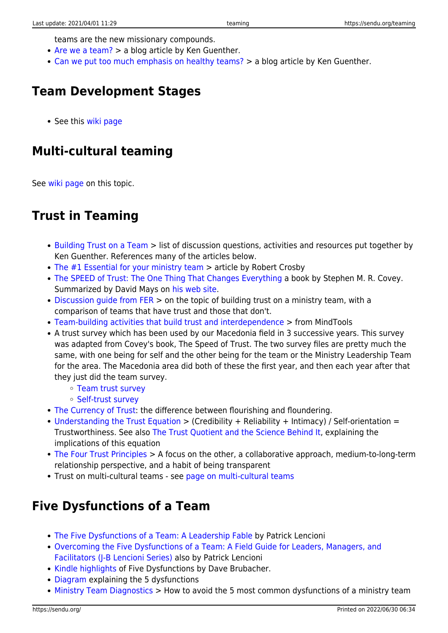teams are the new missionary compounds.

- [Are we a team?](https://sendublog.com/2014/06/04/are-we-a-team/) > a blog article by Ken Guenther.
- [Can we put too much emphasis on healthy teams?](https://sendublog.com/2020/02/10/can-we-put-too-much-emphasis-on-healthy-teams/) > a blog article by Ken Guenther.

### **Team Development Stages**

• See this [wiki page](https://sendu.org/team_development_stages)

# **Multi-cultural teaming**

See [wiki page](https://sendu.org/multicultural_teaming) on this topic.

### **Trust in Teaming**

- [Building Trust on a Team](https://sendu.org/_media/building_trust.docx) > list of discussion questions, activities and resources put together by Ken Guenther. References many of the articles below.
- [The #1 Essential for your ministry team](http://www.patheos.com/blogs/robertcrosby/2013/02/the-1-essential-for-your-ministry-team/) > article by Robert Crosby
- [The SPEED of Trust: The One Thing That Changes Everything](http://www.amazon.com/gp/product/1416549005?ie=UTF8&tag=suw-20&linkCode=as2&camp=1789&creative=390957&creativeASIN=1416549005) a book by Stephen M. R. Covey. Summarized by David Mays on [his web site.](http://www.davidmays.org/BN/CovSpee.html)
- $\bullet$  [Discussion guide from FER](https://sendu.org/_media/building_trust_on_ministry_teams.pdf)  $>$  on the topic of building trust on a ministry team, with a comparison of teams that have trust and those that don't.
- [Team-building activities that build trust and interdependence](http://www.mindtools.com/pages/article/newTMM_52.htm) > from MindTools
- A trust survey which has been used by our Macedonia field in 3 successive years. This survey was adapted from Covey's book, The Speed of Trust. The two survey files are pretty much the same, with one being for self and the other being for the team or the Ministry Leadership Team for the area. The Macedonia area did both of these the first year, and then each year after that they just did the team survey.
	- [Team trust survey](https://sendu.org/_media/organizational_trust_survey.docx)
	- [Self-trust survey](https://sendu.org/_media/self_trust_survey.docx)
- [The Currency of Trust](http://www.nxtbook.com/nxtbooks/trainingindustry/tiq_2014summer/#/28): the difference between flourishing and floundering.
- [Understanding the Trust Equation](https://trustedadvisor.com/why-trust-matters/understanding-trust/understanding-the-trust-equation)  $>$  (Credibility + Reliability + Intimacy) / Self-orientation = Trustworthiness. See also [The Trust Quotient and the Science Behind It](https://trustedadvisor.com/why-trust-matters/understanding-trust/the-trust-quotient-and-the-science-behind-it), explaining the implications of this equation
- [The Four Trust Principles](https://trustedadvisor.com/why-trust-matters/understanding-trust/the-four-trust-principles) > A focus on the other, a collaborative approach, medium-to-long-term relationship perspective, and a habit of being transparent
- Trust on multi-cultural teams see [page on multi-cultural teams](https://sendu.org/multicultural_teaming)

### **Five Dysfunctions of a Team**

- [The Five Dysfunctions of a Team: A Leadership Fable](https://amzn.to/2z7QM0s) by Patrick Lencioni
- [Overcoming the Five Dysfunctions of a Team: A Field Guide for Leaders, Managers, and](https://amzn.to/3cOTEh6) [Facilitators \(J-B Lencioni Series\)](https://amzn.to/3cOTEh6) also by Patrick Lencioni
- [Kindle highlights](https://sendu.org/_media/the_five_dysfunctions_of_a_team.docx) of Five Dysfunctions by Dave Brubacher.
- [Diagram](https://sendu.org/five_dysfunctions_of_a_team) explaining the 5 dysfunctions
- [Ministry Team Diagnostics](http://www.christianitytoday.com/le/2008/spring/1.40.html) > How to avoid the 5 most common dysfunctions of a ministry team